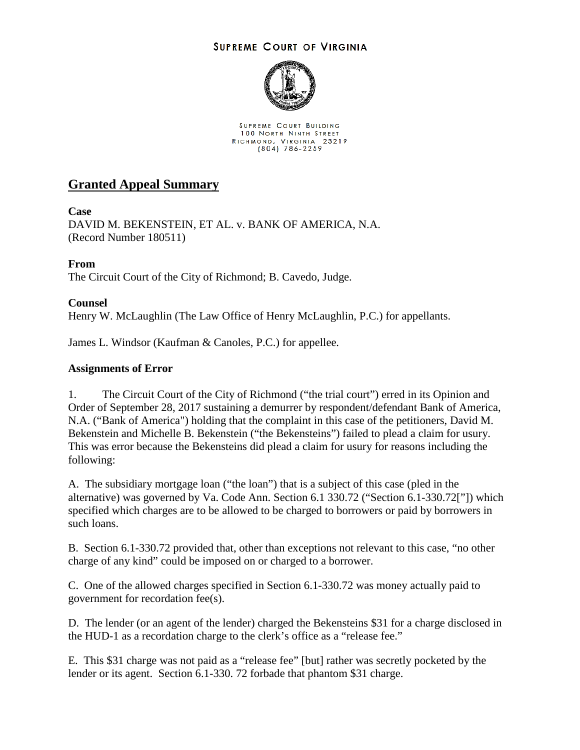## **SUPREME COURT OF VIRGINIA**



SUPREME COURT BUILDING 100 NORTH NINTH STREET RICHMOND, VIRGINIA 23219<br>(804) 786-2259

# **Granted Appeal Summary**

## **Case**

DAVID M. BEKENSTEIN, ET AL. v. BANK OF AMERICA, N.A. (Record Number 180511)

## **From**

The Circuit Court of the City of Richmond; B. Cavedo, Judge.

#### **Counsel**

Henry W. McLaughlin (The Law Office of Henry McLaughlin, P.C.) for appellants.

James L. Windsor (Kaufman & Canoles, P.C.) for appellee.

#### **Assignments of Error**

1. The Circuit Court of the City of Richmond ("the trial court") erred in its Opinion and Order of September 28, 2017 sustaining a demurrer by respondent/defendant Bank of America, N.A. ("Bank of America") holding that the complaint in this case of the petitioners, David M. Bekenstein and Michelle B. Bekenstein ("the Bekensteins") failed to plead a claim for usury. This was error because the Bekensteins did plead a claim for usury for reasons including the following:

A. The subsidiary mortgage loan ("the loan") that is a subject of this case (pled in the alternative) was governed by Va. Code Ann. Section 6.1 330.72 ("Section 6.1-330.72["]) which specified which charges are to be allowed to be charged to borrowers or paid by borrowers in such loans.

B. Section 6.1-330.72 provided that, other than exceptions not relevant to this case, "no other charge of any kind" could be imposed on or charged to a borrower.

C. One of the allowed charges specified in Section 6.1-330.72 was money actually paid to government for recordation fee(s).

D. The lender (or an agent of the lender) charged the Bekensteins \$31 for a charge disclosed in the HUD-1 as a recordation charge to the clerk's office as a "release fee."

E. This \$31 charge was not paid as a "release fee" [but] rather was secretly pocketed by the lender or its agent. Section 6.1-330. 72 forbade that phantom \$31 charge.